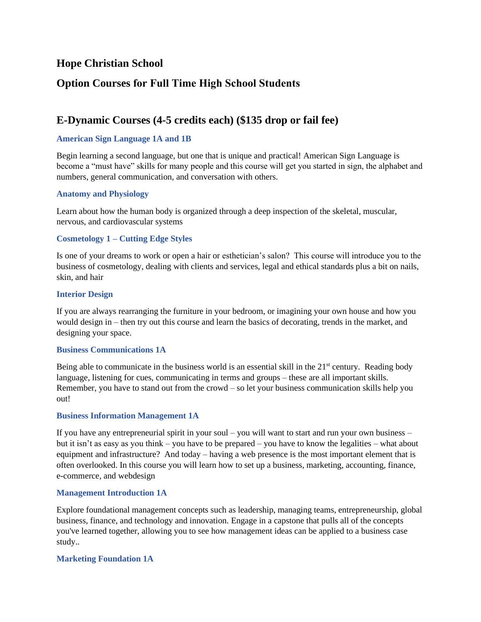## **Hope Christian School**

# **Option Courses for Full Time High School Students**

# **E-Dynamic Courses (4-5 credits each) (\$135 drop or fail fee)**

## **American Sign Language 1A and 1B**

Begin learning a second language, but one that is unique and practical! American Sign Language is become a "must have" skills for many people and this course will get you started in sign, the alphabet and numbers, general communication, and conversation with others.

### **Anatomy and Physiology**

Learn about how the human body is organized through a deep inspection of the skeletal, muscular, nervous, and cardiovascular systems

### **Cosmetology 1 – Cutting Edge Styles**

Is one of your dreams to work or open a hair or esthetician's salon? This course will introduce you to the business of cosmetology, dealing with clients and services, legal and ethical standards plus a bit on nails, skin, and hair

### **Interior Design**

If you are always rearranging the furniture in your bedroom, or imagining your own house and how you would design in – then try out this course and learn the basics of decorating, trends in the market, and designing your space.

#### **Business Communications 1A**

Being able to communicate in the business world is an essential skill in the  $21<sup>st</sup>$  century. Reading body language, listening for cues, communicating in terms and groups – these are all important skills. Remember, you have to stand out from the crowd – so let your business communication skills help you out!

#### **Business Information Management 1A**

If you have any entrepreneurial spirit in your soul – you will want to start and run your own business – but it isn't as easy as you think – you have to be prepared – you have to know the legalities – what about equipment and infrastructure? And today – having a web presence is the most important element that is often overlooked. In this course you will learn how to set up a business, marketing, accounting, finance, e-commerce, and webdesign

#### **Management Introduction 1A**

Explore foundational management concepts such as leadership, managing teams, entrepreneurship, global business, finance, and technology and innovation. Engage in a capstone that pulls all of the concepts you've learned together, allowing you to see how management ideas can be applied to a business case study..

#### **Marketing Foundation 1A**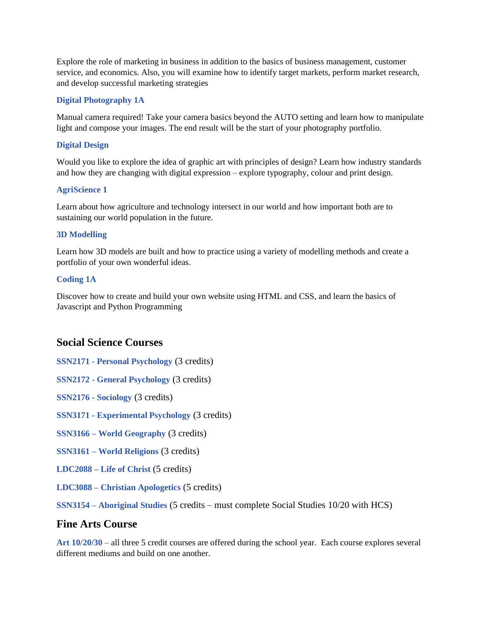Explore the role of marketing in business in addition to the basics of business management, customer service, and economics. Also, you will examine how to identify target markets, perform market research, and develop successful marketing strategies

## **Digital Photography 1A**

Manual camera required! Take your camera basics beyond the AUTO setting and learn how to manipulate light and compose your images. The end result will be the start of your photography portfolio.

### **Digital Design**

Would you like to explore the idea of graphic art with principles of design? Learn how industry standards and how they are changing with digital expression – explore typography, colour and print design.

### **AgriScience 1**

Learn about how agriculture and technology intersect in our world and how important both are to sustaining our world population in the future.

### **3D Modelling**

Learn how 3D models are built and how to practice using a variety of modelling methods and create a portfolio of your own wonderful ideas.

### **Coding 1A**

Discover how to create and build your own website using HTML and CSS, and learn the basics of Javascript and Python Programming

## **Social Science Courses**

- **SSN2171 - Personal Psychology** (3 credits)
- **SSN2172 - General Psychology** (3 credits)
- **SSN2176 - Sociology** (3 credits)
- **SSN3171 - Experimental Psychology** (3 credits)
- **SSN3166 – World Geography** (3 credits)
- **SSN3161 – World Religions** (3 credits)
- **LDC2088 – Life of Christ** (5 credits)
- **LDC3088 – Christian Apologetics** (5 credits)

**SSN3154 – Aboriginal Studies** (5 credits – must complete Social Studies 10/20 with HCS)

## **Fine Arts Course**

**Art 10/20/30** – all three 5 credit courses are offered during the school year. Each course explores several different mediums and build on one another.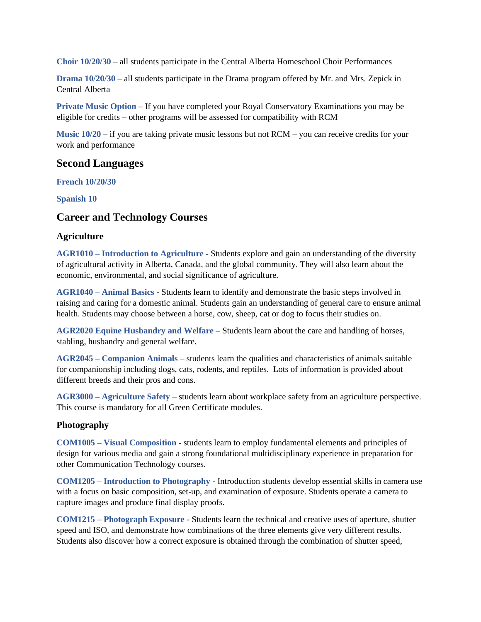**Choir 10/20/30** – all students participate in the Central Alberta Homeschool Choir Performances

**Drama 10/20/30** – all students participate in the Drama program offered by Mr. and Mrs. Zepick in Central Alberta

**Private Music Option** – If you have completed your Royal Conservatory Examinations you may be eligible for credits – other programs will be assessed for compatibility with RCM

**Music 10/20** – if you are taking private music lessons but not RCM – you can receive credits for your work and performance

## **Second Languages**

**French 10/20/30**

**Spanish 10**

## **Career and Technology Courses**

## **Agriculture**

**AGR1010 – Introduction to Agriculture** - Students explore and gain an understanding of the diversity of agricultural activity in Alberta, Canada, and the global community. They will also learn about the economic, environmental, and social significance of agriculture.

**AGR1040 – Animal Basics** - Students learn to identify and demonstrate the basic steps involved in raising and caring for a domestic animal. Students gain an understanding of general care to ensure animal health. Students may choose between a horse, cow, sheep, cat or dog to focus their studies on.

**AGR2020 Equine Husbandry and Welfare** – Students learn about the care and handling of horses, stabling, husbandry and general welfare.

**AGR2045 – Companion Animals** – students learn the qualities and characteristics of animals suitable for companionship including dogs, cats, rodents, and reptiles. Lots of information is provided about different breeds and their pros and cons.

**AGR3000 – Agriculture Safety** – students learn about workplace safety from an agriculture perspective. This course is mandatory for all Green Certificate modules.

### **Photography**

**COM1005 – Visual Composition** - students learn to employ fundamental elements and principles of design for various media and gain a strong foundational multidisciplinary experience in preparation for other Communication Technology courses.

**COM1205 – Introduction to Photography** - Introduction students develop essential skills in camera use with a focus on basic composition, set-up, and examination of exposure. Students operate a camera to capture images and produce final display proofs.

**COM1215 – Photograph Exposure** - Students learn the technical and creative uses of aperture, shutter speed and ISO, and demonstrate how combinations of the three elements give very different results. Students also discover how a correct exposure is obtained through the combination of shutter speed,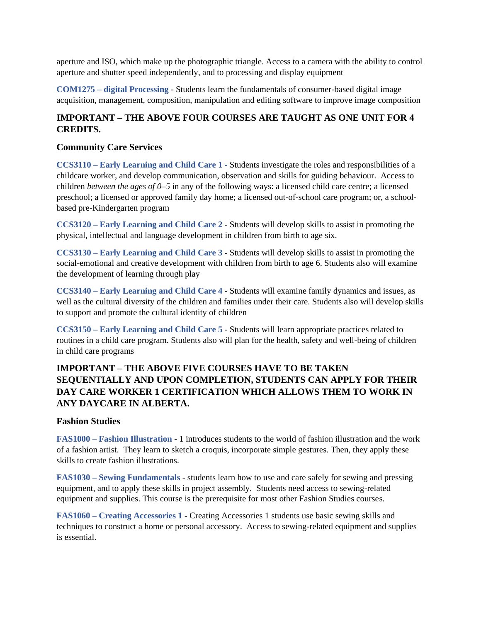aperture and ISO, which make up the photographic triangle. Access to a camera with the ability to control aperture and shutter speed independently, and to processing and display equipment

**COM1275 – digital Processing** - Students learn the fundamentals of consumer-based digital image acquisition, management, composition, manipulation and editing software to improve image composition

# **IMPORTANT – THE ABOVE FOUR COURSES ARE TAUGHT AS ONE UNIT FOR 4 CREDITS.**

## **Community Care Services**

**CCS3110 – Early Learning and Child Care 1 -** Students investigate the roles and responsibilities of a childcare worker, and develop communication, observation and skills for guiding behaviour. Access to children *between the ages of 0–5* in any of the following ways: a licensed child care centre; a licensed preschool; a licensed or approved family day home; a licensed out-of-school care program; or, a schoolbased pre-Kindergarten program

**CCS3120 – Early Learning and Child Care 2** - Students will develop skills to assist in promoting the physical, intellectual and language development in children from birth to age six.

**CCS3130 – Early Learning and Child Care 3** - Students will develop skills to assist in promoting the social-emotional and creative development with children from birth to age 6. Students also will examine the development of learning through play

**CCS3140 – Early Learning and Child Care 4** - Students will examine family dynamics and issues, as well as the cultural diversity of the children and families under their care. Students also will develop skills to support and promote the cultural identity of children

**CCS3150 – Early Learning and Child Care 5** - Students will learn appropriate practices related to routines in a child care program. Students also will plan for the health, safety and well-being of children in child care programs

# **IMPORTANT – THE ABOVE FIVE COURSES HAVE TO BE TAKEN SEQUENTIALLY AND UPON COMPLETION, STUDENTS CAN APPLY FOR THEIR DAY CARE WORKER 1 CERTIFICATION WHICH ALLOWS THEM TO WORK IN ANY DAYCARE IN ALBERTA.**

## **Fashion Studies**

**FAS1000 – Fashion Illustration** - 1 introduces students to the world of fashion illustration and the work of a fashion artist. They learn to sketch a croquis, incorporate simple gestures. Then, they apply these skills to create fashion illustrations.

**FAS1030 – Sewing Fundamentals** - students learn how to use and care safely for sewing and pressing equipment, and to apply these skills in project assembly. Students need access to sewing-related equipment and supplies. This course is the prerequisite for most other Fashion Studies courses.

**FAS1060 – Creating Accessories 1** - Creating Accessories 1 students use basic sewing skills and techniques to construct a home or personal accessory. Access to sewing-related equipment and supplies is essential.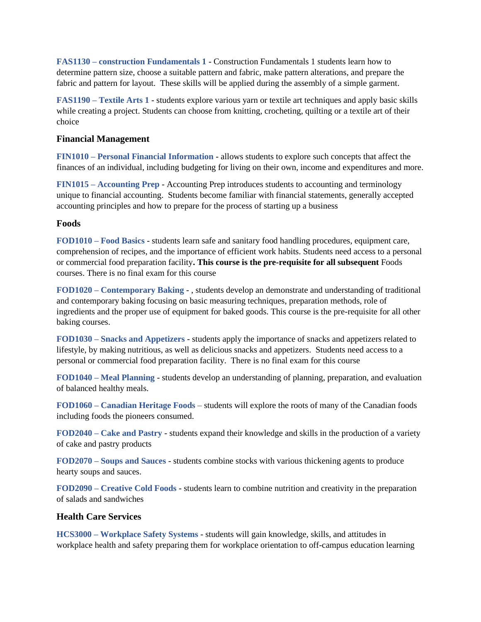**FAS1130 – construction Fundamentals 1** - Construction Fundamentals 1 students learn how to determine pattern size, choose a suitable pattern and fabric, make pattern alterations, and prepare the fabric and pattern for layout. These skills will be applied during the assembly of a simple garment.

**FAS1190 – Textile Arts 1** - students explore various yarn or textile art techniques and apply basic skills while creating a project. Students can choose from knitting, crocheting, quilting or a textile art of their choice

### **Financial Management**

**FIN1010 – Personal Financial Information** - allows students to explore such concepts that affect the finances of an individual, including budgeting for living on their own, income and expenditures and more.

**FIN1015 – Accounting Prep** - Accounting Prep introduces students to accounting and terminology unique to financial accounting. Students become familiar with financial statements, generally accepted accounting principles and how to prepare for the process of starting up a business

## **Foods**

**FOD1010 – Food Basics** - students learn safe and sanitary food handling procedures, equipment care, comprehension of recipes, and the importance of efficient work habits. Students need access to a personal or commercial food preparation facility**. This course is the pre-requisite for all subsequent** Foods courses. There is no final exam for this course

**FOD1020 – Contemporary Baking** - , students develop an demonstrate and understanding of traditional and contemporary baking focusing on basic measuring techniques, preparation methods, role of ingredients and the proper use of equipment for baked goods. This course is the pre-requisite for all other baking courses.

**FOD1030 – Snacks and Appetizers** - students apply the importance of snacks and appetizers related to lifestyle, by making nutritious, as well as delicious snacks and appetizers. Students need access to a personal or commercial food preparation facility. There is no final exam for this course

**FOD1040 – Meal Planning** - students develop an understanding of planning, preparation, and evaluation of balanced healthy meals.

**FOD1060 – Canadian Heritage Foods** – students will explore the roots of many of the Canadian foods including foods the pioneers consumed.

**FOD2040 – Cake and Pastry** - students expand their knowledge and skills in the production of a variety of cake and pastry products

**FOD2070 – Soups and Sauces** - students combine stocks with various thickening agents to produce hearty soups and sauces.

**FOD2090 – Creative Cold Foods** - students learn to combine nutrition and creativity in the preparation of salads and sandwiches

## **Health Care Services**

**HCS3000 – Workplace Safety Systems** - students will gain knowledge, skills, and attitudes in workplace health and safety preparing them for workplace orientation to off-campus education learning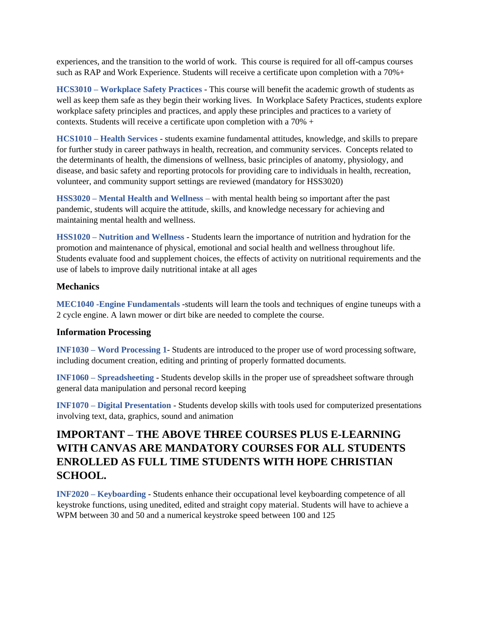experiences, and the transition to the world of work. This course is required for all off-campus courses such as RAP and Work Experience. Students will receive a certificate upon completion with a 70%+

**HCS3010 – Workplace Safety Practices** - This course will benefit the academic growth of students as well as keep them safe as they begin their working lives. In Workplace Safety Practices, students explore workplace safety principles and practices, and apply these principles and practices to a variety of contexts. Students will receive a certificate upon completion with a 70% +

**HCS1010 – Health Services** - students examine fundamental attitudes, knowledge, and skills to prepare for further study in career pathways in health, recreation, and community services. Concepts related to the determinants of health, the dimensions of wellness, basic principles of anatomy, physiology, and disease, and basic safety and reporting protocols for providing care to individuals in health, recreation, volunteer, and community support settings are reviewed (mandatory for HSS3020)

**HSS3020 – Mental Health and Wellness** – with mental health being so important after the past pandemic, students will acquire the attitude, skills, and knowledge necessary for achieving and maintaining mental health and wellness.

**HSS1020 – Nutrition and Wellness** - Students learn the importance of nutrition and hydration for the promotion and maintenance of physical, emotional and social health and wellness throughout life. Students evaluate food and supplement choices, the effects of activity on nutritional requirements and the use of labels to improve daily nutritional intake at all ages

## **Mechanics**

**MEC1040 -Engine Fundamentals** -students will learn the tools and techniques of engine tuneups with a 2 cycle engine. A lawn mower or dirt bike are needed to complete the course.

## **Information Processing**

**INF1030 – Word Processing 1**- Students are introduced to the proper use of word processing software, including document creation, editing and printing of properly formatted documents.

**INF1060 – Spreadsheeting** - Students develop skills in the proper use of spreadsheet software through general data manipulation and personal record keeping

**INF1070 – Digital Presentation** - Students develop skills with tools used for computerized presentations involving text, data, graphics, sound and animation

# **IMPORTANT – THE ABOVE THREE COURSES PLUS E-LEARNING WITH CANVAS ARE MANDATORY COURSES FOR ALL STUDENTS ENROLLED AS FULL TIME STUDENTS WITH HOPE CHRISTIAN SCHOOL.**

**INF2020 – Keyboarding** - Students enhance their occupational level keyboarding competence of all keystroke functions, using unedited, edited and straight copy material. Students will have to achieve a WPM between 30 and 50 and a numerical keystroke speed between 100 and 125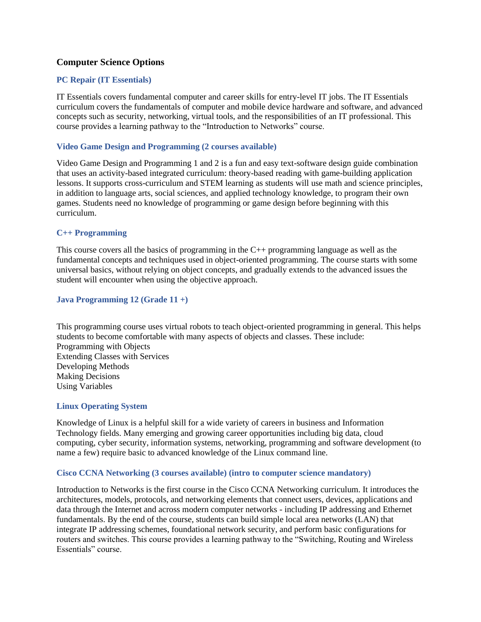## **Computer Science Options**

## **PC Repair (IT Essentials)**

IT Essentials covers fundamental computer and career skills for entry-level IT jobs. The IT Essentials curriculum covers the fundamentals of computer and mobile device hardware and software, and advanced concepts such as security, networking, virtual tools, and the responsibilities of an IT professional. This course provides a learning pathway to the "Introduction to Networks" course.

### **Video Game Design and Programming (2 courses available)**

Video Game Design and Programming 1 and 2 is a fun and easy text-software design guide combination that uses an activity-based integrated curriculum: theory-based reading with game-building application lessons. It supports cross-curriculum and STEM learning as students will use math and science principles, in addition to language arts, social sciences, and applied technology knowledge, to program their own games. Students need no knowledge of programming or game design before beginning with this curriculum.

### **C++ Programming**

This course covers all the basics of programming in the C++ programming language as well as the fundamental concepts and techniques used in object-oriented programming. The course starts with some universal basics, without relying on object concepts, and gradually extends to the advanced issues the student will encounter when using the objective approach.

### **Java Programming 12 (Grade 11 +)**

This programming course uses virtual robots to teach object-oriented programming in general. This helps students to become comfortable with many aspects of objects and classes. These include: Programming with Objects Extending Classes with Services Developing Methods Making Decisions Using Variables

#### **Linux Operating System**

Knowledge of Linux is a helpful skill for a wide variety of careers in business and Information Technology fields. Many emerging and growing career opportunities including big data, cloud computing, cyber security, information systems, networking, programming and software development (to name a few) require basic to advanced knowledge of the Linux command line.

#### **Cisco CCNA Networking (3 courses available) (intro to computer science mandatory)**

Introduction to Networks is the first course in the Cisco CCNA Networking curriculum. It introduces the architectures, models, protocols, and networking elements that connect users, devices, applications and data through the Internet and across modern computer networks - including IP addressing and Ethernet fundamentals. By the end of the course, students can build simple local area networks (LAN) that integrate IP addressing schemes, foundational network security, and perform basic configurations for routers and switches. This course provides a learning pathway to the "Switching, Routing and Wireless Essentials" course.